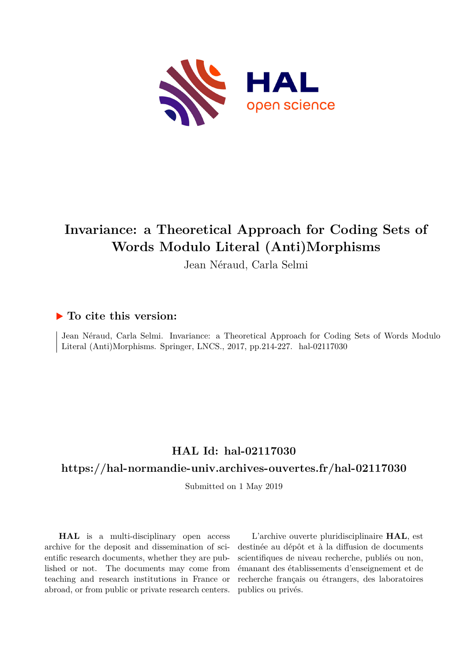

# **Invariance: a Theoretical Approach for Coding Sets of Words Modulo Literal (Anti)Morphisms**

Jean Néraud, Carla Selmi

### **To cite this version:**

Jean Néraud, Carla Selmi. Invariance: a Theoretical Approach for Coding Sets of Words Modulo Literal (Anti)Morphisms. Springer, LNCS., 2017, pp.214-227. hal-02117030

## **HAL Id: hal-02117030**

## **<https://hal-normandie-univ.archives-ouvertes.fr/hal-02117030>**

Submitted on 1 May 2019

**HAL** is a multi-disciplinary open access archive for the deposit and dissemination of scientific research documents, whether they are published or not. The documents may come from teaching and research institutions in France or abroad, or from public or private research centers.

L'archive ouverte pluridisciplinaire **HAL**, est destinée au dépôt et à la diffusion de documents scientifiques de niveau recherche, publiés ou non, émanant des établissements d'enseignement et de recherche français ou étrangers, des laboratoires publics ou privés.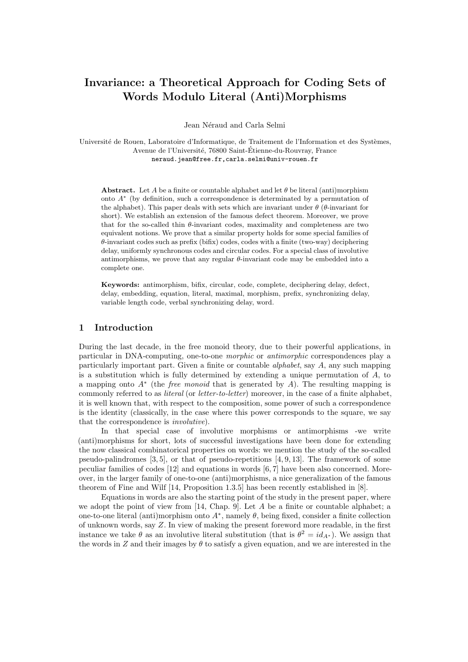## **Invariance: a Theoretical Approach for Coding Sets of Words Modulo Literal (Anti)Morphisms**

Jean Néraud and Carla Selmi

Université de Rouen, Laboratoire d'Informatique, de Traitement de l'Information et des Systèmes, Avenue de l'Université, 76800 Saint-Étienne-du-Rouvray, France neraud.jean@free.fr,carla.selmi@univ-rouen.fr

**Abstract.** Let *A* be a finite or countable alphabet and let  $\theta$  be literal (anti)morphism onto *A ∗* (by definition, such a correspondence is determinated by a permutation of the alphabet). This paper deals with sets which are invariant under  $\theta$  ( $\theta$ -invariant for short). We establish an extension of the famous defect theorem. Moreover, we prove that for the so-called thin *θ*-invariant codes, maximality and completeness are two equivalent notions. We prove that a similar property holds for some special families of *θ*-invariant codes such as prefix (bifix) codes, codes with a finite (two-way) deciphering delay, uniformly synchronous codes and circular codes. For a special class of involutive antimorphisms, we prove that any regular *θ*-invariant code may be embedded into a complete one.

**Keywords:** antimorphism, bifix, circular, code, complete, deciphering delay, defect, delay, embedding, equation, literal, maximal, morphism, prefix, synchronizing delay, variable length code, verbal synchronizing delay, word.

#### **1 Introduction**

During the last decade, in the free monoid theory, due to their powerful applications, in particular in DNA-computing, one-to-one *morphic* or *antimorphic* correspondences play a particularly important part. Given a finite or countable *alphabet*, say *A*, any such mapping is a substitution which is fully determined by extending a unique permutation of *A*, to a mapping onto *A<sup>∗</sup>* (the *free monoid* that is generated by *A*). The resulting mapping is commonly referred to as *literal* (or *letter-to-letter*) moreover, in the case of a finite alphabet, it is well known that, with respect to the composition, some power of such a correspondence is the identity (classically, in the case where this power corresponds to the square, we say that the correspondence is *involutive*).

In that special case of involutive morphisms or antimorphisms -we write (anti)morphisms for short, lots of successful investigations have been done for extending the now classical combinatorical properties on words: we mention the study of the so-called pseudo-palindromes  $[3, 5]$ , or that of pseudo-repetitions  $[4, 9, 13]$ . The framework of some peculiar families of codes [12] and equations in words [6, 7] have been also concerned. Moreover, in the larger family of one-to-one (anti)morphisms, a nice generalization of the famous theorem of Fine and Wilf [14, Proposition 1.3.5] has been recently established in [8].

Equations in words are also the starting point of the study in the present paper, where we adopt the point of view from [14, Chap. 9]. Let *A* be a finite or countable alphabet; a one-to-one literal (anti)morphism onto *A<sup>∗</sup>* , namely *θ*, being fixed, consider a finite collection of unknown words, say *Z*. In view of making the present foreword more readable, in the first instance we take  $\theta$  as an involutive literal substitution (that is  $\theta^2 = id_{A^*}$ ). We assign that the words in *Z* and their images by  $\theta$  to satisfy a given equation, and we are interested in the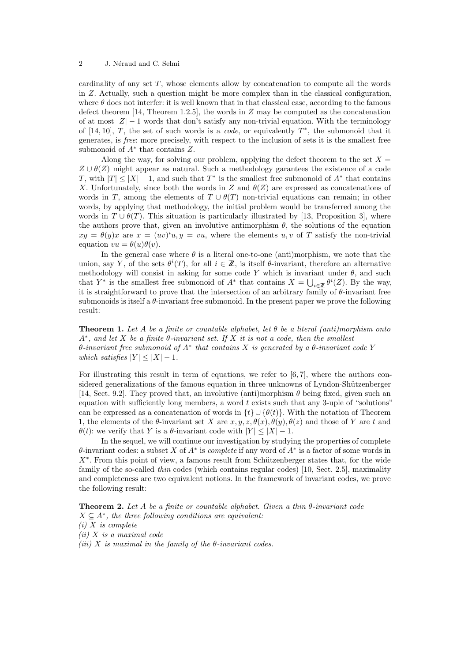#### 2 J. Néraud and C. Selmi

cardinality of any set *T*, whose elements allow by concatenation to compute all the words in *Z*. Actually, such a question might be more complex than in the classical configuration, where  $\theta$  does not interfer: it is well known that in that classical case, according to the famous defect theorem [14, Theorem 1.2.5], the words in *Z* may be computed as the concatenation of at most *|Z| −* 1 words that don't satisfy any non-trivial equation. With the terminology of  $[14, 10]$ , *T*, the set of such words is a *code*, or equivalently  $T^*$ , the submonoid that it generates, is *free*: more precisely, with respect to the inclusion of sets it is the smallest free submonoid of *A<sup>∗</sup>* that contains *Z*.

Along the way, for solving our problem, applying the defect theorem to the set  $X =$  $Z \cup \theta(Z)$  might appear as natural. Such a methodology garantees the existence of a code *T*, with  $|T| \leq |X| - 1$ , and such that  $T^*$  is the smallest free submonoid of  $A^*$  that contains *X*. Unfortunately, since both the words in *Z* and  $\theta(Z)$  are expressed as concatenations of words in *T*, among the elements of  $T \cup \theta(T)$  non-trivial equations can remain; in other words, by applying that methodology, the initial problem would be transferred among the words in  $T \cup \theta(T)$ . This situation is particularly illustrated by [13, Proposition 3], where the authors prove that, given an involutive antimorphism  $\theta$ , the solutions of the equation  $xy = \theta(y)x$  are  $x = (uv)^i u, y = vu$ , where the elements *u, v* of *T* satisfy the non-trivial equation  $vu = \theta(u)\theta(v)$ .

In the general case where  $\theta$  is a literal one-to-one (anti)morphism, we note that the union, say *Y*, of the sets  $\theta^{i}(T)$ , for all  $i \in \mathbb{Z}$ , is itself  $\theta$ -invariant, therefore an alternative methodology will consist in asking for some code *Y* which is invariant under  $\theta$ , and such that *Y*<sup>\*</sup> is the smallest free submonoid of *A*<sup>\*</sup> that contains  $X = \bigcup_{i \in \mathbb{Z}} \theta^i(Z)$ . By the way, it is straightforward to prove that the intersection of an arbitrary family of  $\theta$ -invariant free submonoids is itself a *θ*-invariant free submonoid. In the present paper we prove the following result:

**Theorem 1.** *Let A be a finite or countable alphabet, let θ be a literal (anti)morphism onto A<sup>∗</sup> , and let X be a finite θ-invariant set. If X it is not a code, then the smallest θ-invariant free submonoid of A<sup>∗</sup> that contains X is generated by a θ-invariant code Y which satisfies*  $|Y| \leq |X| - 1$ *.* 

For illustrating this result in term of equations, we refer to [6,7], where the authors considered generalizations of the famous equation in three unknowns of Lyndon-Shützenberger [14, Sect. 9.2]. They proved that, an involutive (anti)morphism *θ* being fixed, given such an equation with sufficiently long members, a word *t* exists such that any 3-uple of "solutions" can be expressed as a concatenation of words in  $\{t\} \cup \{ \theta(t) \}$ . With the notation of Theorem 1, the elements of the  $\theta$ -invariant set *X* are *x*, *y*, *z*,  $\theta(x)$ ,  $\theta(y)$ ,  $\theta(z)$  and those of *Y* are *t* and *θ*(*t*): we verify that *Y* is a *θ*-invariant code with  $|Y| \leq |X| - 1$ .

In the sequel, we will continue our investigation by studying the properties of complete *θ*-invariant codes: a subset *X* of *A<sup>∗</sup>* is *complete* if any word of *A<sup>∗</sup>* is a factor of some words in *X*<sup>∗</sup>. From this point of view, a famous result from Schützenberger states that, for the wide family of the so-called *thin* codes (which contains regular codes) [10, Sect. 2.5], maximality and completeness are two equivalent notions. In the framework of invariant codes, we prove the following result:

**Theorem 2.** *Let A be a finite or countable alphabet. Given a thin θ-invariant code*  $X \subseteq A^*$ , the three following conditions are equivalent: *(i) X is complete*

*(ii) X is a maximal code*

*(iii) X is maximal in the family of the θ-invariant codes.*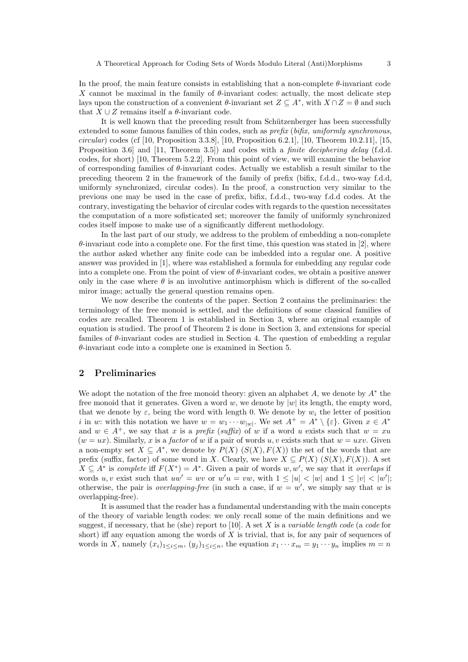In the proof, the main feature consists in establishing that a non-complete  $\theta$ -invariant code *X* cannot be maximal in the family of  $\theta$ -invariant codes: actually, the most delicate step lays upon the construction of a convenient  $\theta$ -invariant set  $Z \subseteq A^*$ , with  $X \cap Z = \emptyset$  and such that  $X \cup Z$  remains itself a  $\theta$ -invariant code.

It is well known that the preceding result from Schützenberger has been successfully extended to some famous families of thin codes, such as *prefix* (*bifix, uniformly synchronous, circular*) codes (cf [10, Proposition 3.3.8], [10, Proposition 6.2.1], [10, Theorem 10.2.11], [15, Proposition 3.6] and [11, Theorem 3.5]) and codes with a *finite deciphering delay* (f.d.d. codes, for short) [10, Theorem 5.2.2]. From this point of view, we will examine the behavior of corresponding families of *θ*-invariant codes. Actually we establish a result similar to the preceding theorem 2 in the framework of the family of prefix (bifix, f.d.d., two-way f.d.d, uniformly synchronized, circular codes). In the proof, a construction very similar to the previous one may be used in the case of prefix, bifix, f.d.d., two-way f.d.d codes. At the contrary, investigating the behavior of circular codes with regards to the question necessitates the computation of a more sofisticated set; moreover the family of uniformly synchronized codes itself impose to make use of a significantly different methodology.

In the last part of our study, we address to the problem of embedding a non-complete  $\theta$ -invariant code into a complete one. For the first time, this question was stated in [2], where the author asked whether any finite code can be imbedded into a regular one. A positive answer was provided in [1], where was established a formula for embedding any regular code into a complete one. From the point of view of *θ*-invariant codes, we obtain a positive answer only in the case where  $\theta$  is an involutive antimorphism which is different of the so-called miror image; actually the general question remains open.

We now describe the contents of the paper. Section 2 contains the preliminaries: the terminology of the free monoid is settled, and the definitions of some classical families of codes are recalled. Theorem 1 is established in Section 3, where an original example of equation is studied. The proof of Theorem 2 is done in Section 3, and extensions for special familes of *θ*-invariant codes are studied in Section 4. The question of embedding a regular *θ*-invariant code into a complete one is examined in Section 5.

#### **2 Preliminaries**

We adopt the notation of the free monoid theory: given an alphabet *A*, we denote by *A<sup>∗</sup>* the free monoid that it generates. Given a word *w*, we denote by  $|w|$  its length, the empty word, that we denote by  $\varepsilon$ , being the word with length 0. We denote by  $w_i$  the letter of position *i* in *w*: with this notation we have  $w = w_1 \cdots w_{|w|}$ . We set  $A^+ = A^* \setminus \{\varepsilon\}$ . Given  $x \in A^*$ and  $w \in A^+$ , we say that *x* is a *prefix* (*suffix*) of *w* if a word *u* exists such that  $w = xu$  $(w = ux)$ . Similarly, x is a *factor* of w if a pair of words  $u, v$  exists such that  $w = uxv$ . Given a non-empty set  $X \subseteq A^*$ , we denote by  $P(X)$  ( $S(X)$ ,  $F(X)$ ) the set of the words that are prefix (suffix, factor) of some word in *X*. Clearly, we have  $X \subseteq P(X)$  ( $S(X), F(X)$ ). A set  $X \subseteq A^*$  is *complete* iff  $F(X^*) = A^*$ . Given a pair of words *w*, *w'*, we say that it *overlaps* if words u, v exist such that  $uw' = wv$  or  $w'u = vw$ , with  $1 \leq |u| < |w|$  and  $1 \leq |v| < |w'|$ ; otherwise, the pair is *overlapping-free* (in such a case, if  $w = w'$ , we simply say that *w* is overlapping-free).

It is assumed that the reader has a fundamental understanding with the main concepts of the theory of variable length codes: we only recall some of the main definitions and we suggest, if necessary, that he (she) report to [10]. A set *X* is a *variable length code* (a *code* for short) iff any equation among the words of *X* is trivial, that is, for any pair of sequences of words in X, namely  $(x_i)_{1 \le i \le m}$ ,  $(y_i)_{1 \le i \le n}$ , the equation  $x_1 \cdots x_m = y_1 \cdots y_n$  implies  $m = n$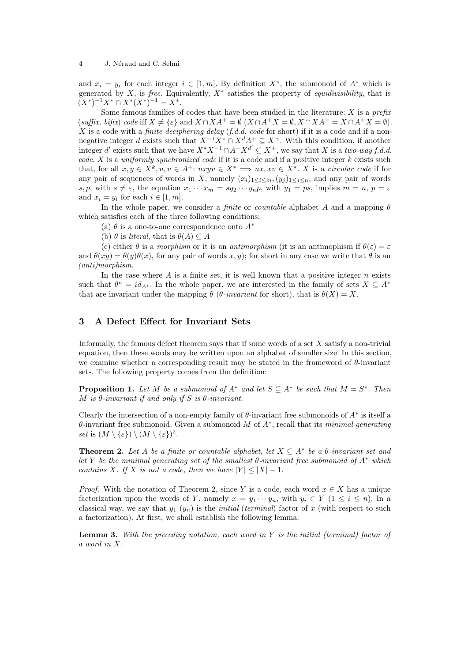#### 4 J. Néraud and C. Selmi

and  $x_i = y_i$  for each integer  $i \in [1, m]$ . By definition  $X^*$ , the submonoid of  $A^*$  which is generated by *X*, is *free*. Equivalently, *X<sup>∗</sup>* satisfies the property of *equidivisibility*, that is  $(X^*)^{-1}X^* \cap X^*(X^*)^{-1} = X^*$ .

Some famous families of codes that have been studied in the literature: *X* is a *prefix* (*suffix, bifix*) *code* iff *X ̸*= *{ε}* and *X ∩XA*<sup>+</sup> = *∅* (*X ∩A*<sup>+</sup>*X* = *∅, X ∩XA*<sup>+</sup> = *X ∩A*<sup>+</sup>*X* = *∅*). *X* is a code with a *finite deciphering delay* (*f.d.d. code* for short) if it is a code and if a nonnegative integer *d* exists such that *X−*<sup>1</sup>*X<sup>∗</sup> ∩ X<sup>d</sup>A*<sup>+</sup> *⊆ X*<sup>+</sup>. With this condition, if another integer *d'* exists such that we have  $X^*X^{-1} \cap A^+X^{d'} \subseteq X^+$ , we say that *X* is a *two-way f.d.d. code*. *X* is a *uniformly synchronized code* if it is a code and if a positive integer *k* exists such that, for all  $x, y \in X^k, u, v \in A^+$ :  $uxyv \in X^* \implies ux, xv \in X^*$ . X is a *circular code* if for any pair of sequences of words in *X*, namely  $(x_i)_{1 \leq i \leq m}$ ,  $(y_j)_{1 \leq j \leq n}$ , and any pair of words s, p, with  $s \neq \varepsilon$ , the equation  $x_1 \cdots x_m = sy_2 \cdots y_n$ , with  $y_1 = ps$ , implies  $m = n$ ,  $p = \varepsilon$ and  $x_i = y_i$  for each  $i \in [1, m]$ .

In the whole paper, we consider a *finite* or *countable* alphabet *A* and a mapping *θ* which satisfies each of the three following conditions:

(a)  $\theta$  is a one-to-one correspondence onto  $A^*$ 

(b)  $\theta$  is *literal*, that is  $\theta(A) \subseteq A$ 

(c) either  $\theta$  is a *morphism* or it is an *antimorphism* (it is an antimophism if  $\theta(\varepsilon) = \varepsilon$ and  $\theta(xy) = \theta(y)\theta(x)$ , for any pair of words x, y); for short in any case we write that  $\theta$  is an *(anti)morphism*.

In the case where *A* is a finite set, it is well known that a positive integer *n* exists such that  $\theta^n = id_{A^*}$ . In the whole paper, we are interested in the family of sets  $X \subseteq A^*$ that are invariant under the mapping  $\theta$  ( $\theta$ *-invariant* for short), that is  $\theta(X) = X$ .

#### **3 A Defect Effect for Invariant Sets**

Informally, the famous defect theorem says that if some words of a set *X* satisfy a non-trivial equation, then these words may be written upon an alphabet of smaller size. In this section, we examine whether a corresponding result may be stated in the frameword of *θ*-invariant sets. The following property comes from the definition:

**Proposition 1.** Let M be a submonoid of  $A^*$  and let  $S \subseteq A^*$  be such that  $M = S^*$ . Then *M is θ-invariant if and only if S is θ-invariant.*

Clearly the intersection of a non-empty family of  $\theta$ -invariant free submonoids of  $A^*$  is itself a *θ*-invariant free submonoid. Given a submonoid *M* of *A<sup>∗</sup>* , recall that its *minimal generating set* is  $(M \setminus {\varepsilon}) \setminus (M \setminus {\varepsilon})^2$ .

**Theorem 2.** Let A be a finite or countable alphabet, let  $X \subseteq A^*$  be a  $\theta$ -invariant set and *let Y be the minimal generating set of the smallest θ-invariant free submonoid of A<sup>∗</sup> which contains X.* If *X is not a code, then we have*  $|Y| < |X| - 1$ *.* 

*Proof.* With the notation of Theorem 2, since *Y* is a code, each word  $x \in X$  has a unique factorization upon the words of *Y*, namely  $x = y_1 \cdots y_n$ , with  $y_i \in Y$  (1  $\leq i \leq n$ ). In a classical way, we say that  $y_1$   $(y_n)$  is the *initial* (*terminal*) factor of x (with respect to such a factorization). At first, we shall establish the following lemma:

**Lemma 3.** *With the preceding notation, each word in Y is the initial (terminal) factor of a word in X.*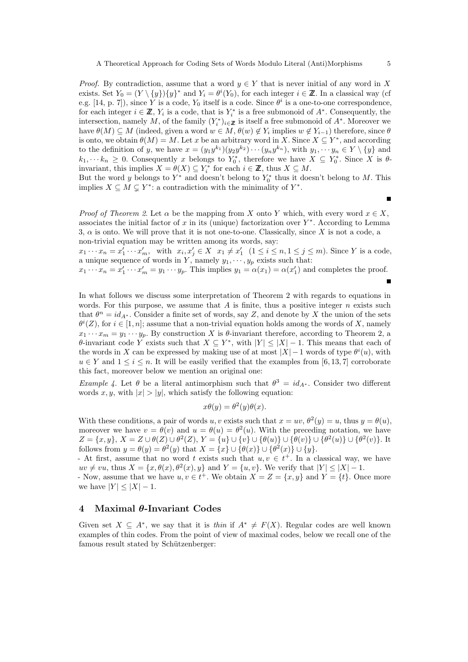*Proof.* By contradiction, assume that a word  $y \in Y$  that is never initial of any word in X exists. Set  $Y_0 = (Y \setminus \{y\})\{y\}^*$  and  $Y_i = \theta^i(Y_0)$ , for each integer  $i \in \mathbb{Z}$ . In a classical way (cf e.g. [14, p. 7]), since *Y* is a code,  $Y_0$  itself is a code. Since  $\theta^i$  is a one-to-one correspondence, for each integer  $i \in \mathbb{Z}$ ,  $Y_i$  is a code, that is  $Y_i^*$  is a free submonoid of  $A^*$ . Consequently, the intersection, namely *M*, of the family  $(Y_i^*)_{i \in \mathbb{Z}}$  is itself a free submonoid of  $A^*$ . Moreover we have  $\theta(M) \subseteq M$  (indeed, given a word  $w \in M$ ,  $\theta(w) \notin Y_i$  implies  $w \notin Y_{i-1}$ ) therefore, since  $\theta$ is onto, we obtain  $\theta(M) = M$ . Let *x* be an arbitrary word in *X*. Since  $X \subseteq Y^*$ , and according to the definition of y, we have  $x = (y_1y^{k_1})(y_2y^{k_2})\cdots(y_ny^{k_n})$ , with  $y_1, \cdots y_n \in Y \setminus \{y\}$  and  $k_1, \dots, k_n \geq 0$ . Consequently *x* belongs to  $Y_0^*$ , therefore we have  $X \subseteq Y_0^*$ . Since *X* is  $\theta$ invariant, this implies  $X = \theta(X) \subseteq Y_i^*$  for each  $i \in \mathbb{Z}$ , thus  $X \subseteq M$ .

But the word *y* belongs to  $Y^*$  and doesn't belong to  $Y_0^*$  thus it doesn't belong to *M*. This implies  $X \subseteq M \subsetneq Y^*$ : a contradiction with the minimality of  $Y^*$ .

*Proof of Theorem 2.* Let  $\alpha$  be the mapping from *X* onto *Y* which, with every word  $x \in X$ , associates the initial factor of *x* in its (unique) factorization over *Y ∗* . According to Lemma 3, *α* is onto. We will prove that it is not one-to-one. Classically, since *X* is not a code, a non-trivial equation may be written among its words, say:

 $x_1 \cdots x_n = x'_1 \cdots x'_m$ , with  $x_i, x'_j \in X$   $x_1 \neq x'_1$   $(1 \leq i \leq n, 1 \leq j \leq m)$ . Since Y is a code, a unique sequence of words in  $Y$ , namely  $y_1, \dots, y_p$  exists such that:

 $x_1 \cdots x_n = x'_1 \cdots x'_m = y_1 \cdots y_p$ . This implies  $y_1 = \alpha(x_1) = \alpha(x'_1)$  and completes the proof.

In what follows we discuss some interpretation of Theorem 2 with regards to equations in words. For this purpose, we assume that *A* is finite, thus a positive integer *n* exists such that  $\theta^n = id_{A^*}$ . Consider a finite set of words, say *Z*, and denote by *X* the union of the sets  $\theta^{i}(Z)$ , for  $i \in [1, n]$ ; assume that a non-trivial equation holds among the words of *X*, namely  $x_1 \cdots x_m = y_1 \cdots y_p$ . By construction *X* is *θ*-invariant therefore, according to Theorem 2, a *θ*-invariant code *Y* exists such that  $X \subseteq Y^*$ , with  $|Y| \leq |X| - 1$ . This means that each of the words in *X* can be expressed by making use of at most  $|X| - 1$  words of type  $\theta^{i}(u)$ , with  $u \in Y$  and  $1 \leq i \leq n$ . It will be easily verified that the examples from [6, 13, 7] corroborate this fact, moreover below we mention an original one:

*Example 4.* Let  $\theta$  be a literal antimorphism such that  $\theta^3 = id_{A^*}$ . Consider two different words x, y, with  $|x| > |y|$ , which satisfy the following equation:

$$
x\theta(y) = \theta^2(y)\theta(x).
$$

With these conditions, a pair of words *u*, *v* exists such that  $x = uv$ ,  $\theta^2(y) = u$ , thus  $y = \theta(u)$ , moreover we have  $v = \theta(v)$  and  $u = \theta(u) = \theta^2(u)$ . With the preceding notation, we have  $Z = \{x, y\}, X = Z \cup \theta(Z) \cup \theta^2(Z), Y = \{u\} \cup \{v\} \cup \{\theta(u)\} \cup \{\theta(v)\} \cup \{\theta^2(u)\} \cup \{\theta^2(v)\}.$  It follows from  $y = \theta(y) = \theta^2(y)$  that  $X = \{x\} \cup \{\theta(x)\} \cup \{\theta^2(x)\} \cup \{y\}.$ 

- At first, assume that no word *t* exists such that  $u, v \in t^+$ . In a classical way, we have  $uv \neq vu$ , thus  $X = \{x, \theta(x), \theta^2(x), y\}$  and  $Y = \{u, v\}$ . We verify that  $|Y| \leq |X| - 1$ .

- Now, assume that we have  $u, v \in t^+$ . We obtain  $X = Z = \{x, y\}$  and  $Y = \{t\}$ . Once more we have  $|Y| < |X| - 1$ .

#### **4 Maximal** *θ***-Invariant Codes**

Given set  $X \subseteq A^*$ , we say that it is *thin* if  $A^* \neq F(X)$ . Regular codes are well known examples of thin codes. From the point of view of maximal codes, below we recall one of the famous result stated by Schützenberger:

 $\blacksquare$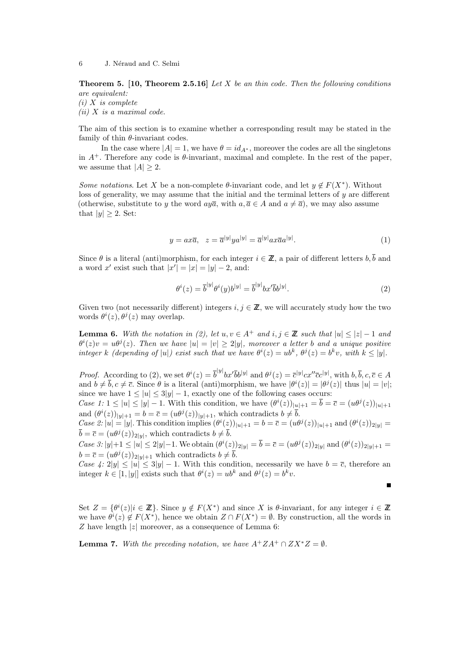**Theorem 5. [10, Theorem 2.5.16]** *Let X be an thin code. Then the following conditions are equivalent:*

*(i) X is complete*

*(ii) X is a maximal code.*

The aim of this section is to examine whether a corresponding result may be stated in the family of thin *θ*-invariant codes.

In the case where  $|A| = 1$ , we have  $\theta = id_{A^*}$ , moreover the codes are all the singletons in  $A^+$ . Therefore any code is  $\theta$ -invariant, maximal and complete. In the rest of the paper, we assume that  $|A| \geq 2$ .

*Some notations*. Let *X* be a non-complete  $\theta$ -invariant code, and let  $y \notin F(X^*)$ . Without loss of generality, we may assume that the initial and the terminal letters of *y* are different (otherwise, substitute to *y* the word  $a y \overline{a}$ , with  $a, \overline{a} \in A$  and  $a \neq \overline{a}$ ), we may also assume that  $|y| \geq 2$ . Set:

$$
y = ax\overline{a}, \quad z = \overline{a}^{|y|}ya^{|y|} = \overline{a}^{|y|}ax\overline{a}a^{|y|}.\tag{1}
$$

Since  $\theta$  is a literal (anti)morphism, for each integer  $i \in \mathbb{Z}$ , a pair of different letters  $b, \overline{b}$  and a word  $x'$  exist such that  $|x'| = |x| = |y| - 2$ , and:

$$
\theta^i(z) = \overline{b}^{|y|} \theta^i(y) b^{|y|} = \overline{b}^{|y|} b x^{\prime} \overline{b} b^{|y|}. \tag{2}
$$

 $\blacksquare$ 

Given two (not necessarily different) integers  $i, j \in \mathbb{Z}$ , we will accurately study how the two words  $\theta^i(z)$ ,  $\theta^j(z)$  may overlap.

**Lemma 6.** With the notation in (2), let  $u, v \in A^+$  and  $i, j \in \mathbb{Z}$  such that  $|u| \leq |z| - 1$  and  $\theta^{i}(z)v = u\theta^{j}(z)$ . Then we have  $|u| = |v| \ge 2|y|$ , moreover a letter b and a unique positive integer k (depending of |u|) exist such that we have  $\theta^{i}(z) = ub^{k}, \theta^{j}(z) = b^{k}v$ , with  $k \leq |y|$ .

*Proof.* According to (2), we set  $\theta^{i}(z) = \overline{b}^{|y|} b x' \overline{b} b^{|y|}$  and  $\theta^{j}(z) = \overline{c}^{|y|} c x'' \overline{c} c^{|y|}$ , with  $b, \overline{b}, c, \overline{c} \in A$ and  $b \neq \overline{b}, c \neq \overline{c}$ . Since  $\theta$  is a literal (anti)morphism, we have  $|\theta^{i}(z)| = |\theta^{j}(z)|$  thus  $|u| = |v|$ ; since we have  $1 \leq |u| \leq 3|y| - 1$ , exactly one of the following cases occurs:

Case 1:  $1 \le |u| \le |y| - 1$ . With this condition, we have  $(\theta^i(z))_{|\underline{u}|+1} = \overline{b} = \overline{c} = (u\theta^j(z))_{|u|+1}$ and  $(\theta^i(z))_{|y|+1} = b = \overline{c} = (u\theta^j(z))_{|y|+1}$ , which contradicts  $b \neq \overline{b}$ .

Case 2:  $|u| = |y|$ . This condition implies  $(\theta^i(z))_{|u|+1} = b = \overline{c} = (u\theta^j(z))_{|u|+1}$  and  $(\theta^i(z))_{2|y|} =$  $\overline{b} = \overline{c} = (u\theta^j(z))_{2|y|}$ , which contradicts  $b \neq \overline{b}$ .

Case 3:  $|y|+1 \le |u| \le 2|y|-1$ . We obtain  $(\theta^{i}(z))_{2|y|} = \overline{b} = \overline{c} = (u\theta^{j}(z))_{2|y|}$  and  $(\theta^{i}(z))_{2|y|+1} =$  $b = \overline{c} = (u\theta^j(z))_{2|y|+1}$  which contradicts  $b \neq \overline{b}$ .

*Case 4:* 2|*y*|  $\leq |u| \leq 3|y| - 1$ . With this condition, necessarily we have  $b = \overline{c}$ , therefore an integer  $k \in [1, |y|]$  exists such that  $\theta^i(z) = ub^k$  and  $\theta^j(z) = b^k v$ .

Set  $Z = \{\theta^i(z)|i \in \mathbb{Z}\}\.$  Since  $y \notin F(X^*)$  and since X is  $\theta$ -invariant, for any integer  $i \in \mathbb{Z}$ we have  $\theta^{i}(z) \notin F(X^*)$ , hence we obtain  $Z \cap F(X^*) = \emptyset$ . By construction, all the words in *Z* have length *|z|* moreover, as a consequence of Lemma 6:

**Lemma 7.** *With the preceding notation, we have*  $A^+ZA^+\cap ZX^*Z=\emptyset$ *.*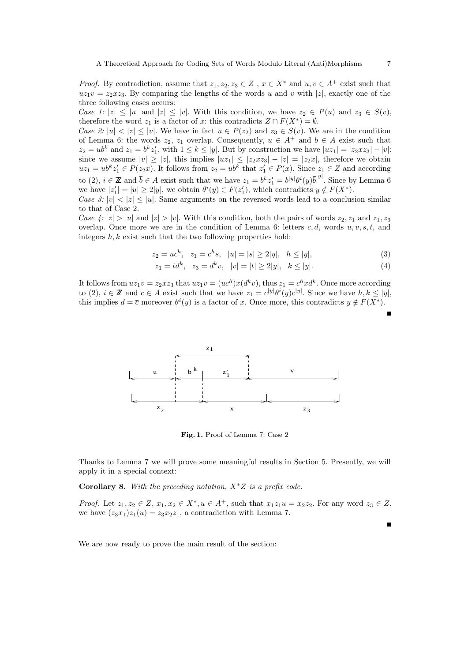*Proof.* By contradiction, assume that  $z_1, z_2, z_3 \in Z$ ,  $x \in X^*$  and  $u, v \in A^+$  exist such that  $uz_1v = z_2xz_3$ . By comparing the lengths of the words *u* and *v* with |*z*|, exactly one of the three following cases occurs:

*Case 1:*  $|z| \le |u|$  and  $|z| \le |v|$ . With this condition, we have  $z_2 \in P(u)$  and  $z_3 \in S(v)$ . therefore the word  $z_1$  is a factor of *x*: this contradicts  $Z \cap F(X^*) = \emptyset$ .

*Case 2:*  $|u| < |z| \le |v|$ . We have in fact  $u \in P(z_2)$  and  $z_3 \in S(v)$ . We are in the condition of Lemma 6: the words  $z_2$ ,  $z_1$  overlap. Consequently,  $u \in A^+$  and  $b \in A$  exist such that  $z_2 = ub^k$  and  $z_1 = b^k z'_1$ , with  $1 \leq k \leq |y|$ . But by construction we have  $|uz_1| = |z_2 x z_3| - |v|$ : since we assume  $|v| \ge |z|$ , this implies  $|uz_1| \le |z_2xz_3| - |z| = |z_2x|$ , therefore we obtain  $uz_1 = ub^k z'_1 \in P(z_2 x)$ . It follows from  $z_2 = ub^k$  that  $z'_1 \in P(x)$ . Since  $z_1 \in Z$  and according to (2),  $i \in \mathbb{Z}$  and  $\bar{b} \in A$  exist such that we have  $z_1 = b^k z'_1 = b^{|y|} \theta^i(y) \overline{b}^{|y|}$ . Since by Lemma 6 we have  $|z'_1| = |u| \ge 2|y|$ , we obtain  $\theta^i(y) \in F(z'_1)$ , which contradicts  $y \notin F(X^*)$ .

*Case 3:*  $|v| < |z| \le |u|$ . Same arguments on the reversed words lead to a conclusion similar to that of Case 2.

Case 4:  $|z| > |u|$  and  $|z| > |v|$ . With this condition, both the pairs of words  $z_2, z_1$  and  $z_1, z_3$ overlap. Once more we are in the condition of Lemma 6: letters *c, d*, words *u, v, s, t*, and integers *h, k* exist such that the two following properties hold:

$$
z_2 = uc^h, \quad z_1 = c^h s, \quad |u| = |s| \ge 2|y|, \quad h \le |y|,\tag{3}
$$

$$
z_1 = td^k, \quad z_3 = d^k v, \quad |v| = |t| \ge 2|y|, \quad k \le |y|.
$$
 (4)

It follows from  $uz_1v = z_2xz_3$  that  $uz_1v = (uc^h)x(d^kv)$ , thus  $z_1 = c^hxd^k$ . Once more according to (2),  $i \in \mathbb{Z}$  and  $\bar{c} \in A$  exist such that we have  $z_1 = c^{|y|} \theta^i(y) \bar{c}^{|y|}$ . Since we have  $h, k \leq |y|$ , this implies  $d = \overline{c}$  moreover  $\theta^i(y)$  is a factor of *x*. Once more, this contradicts  $y \notin F(X^*)$ .



**Fig. 1.** Proof of Lemma 7: Case 2

Thanks to Lemma 7 we will prove some meaningful results in Section 5. Presently, we will apply it in a special context:

**Corollary 8.** *With the preceding notation, X∗Z is a prefix code.*

*Proof.* Let  $z_1, z_2 \in Z$ ,  $x_1, x_2 \in X^*$ ,  $u \in A^+$ , such that  $x_1z_1u = x_2z_2$ . For any word  $z_3 \in Z$ , we have  $(z_3x_1)z_1(u) = z_3x_2z_1$ , a contradiction with Lemma 7.

We are now ready to prove the main result of the section: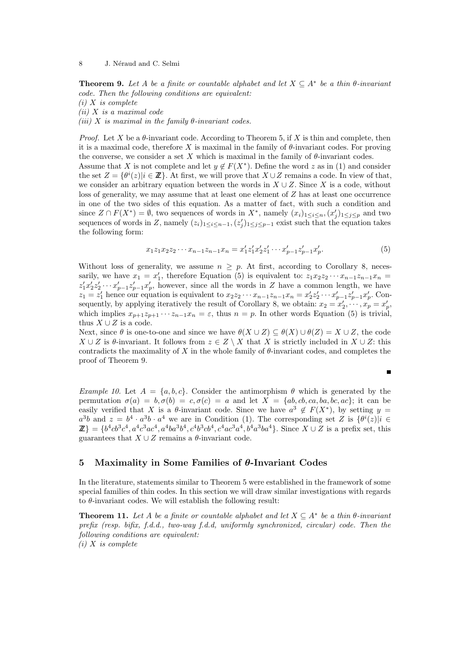**Theorem 9.** Let A be a finite or countable alphabet and let  $X \subseteq A^*$  be a thin  $\theta$ -invariant *code. Then the following conditions are equivalent:*

*(i) X is complete*

*(ii) X is a maximal code (iii) X is maximal in the family θ-invariant codes.*

*Proof.* Let X be a  $\theta$ -invariant code. According to Theorem 5, if X is thin and complete, then it is a maximal code, therefore *X* is maximal in the family of *θ*-invariant codes. For proving the converse, we consider a set X which is maximal in the family of  $\theta$ -invariant codes. Assume that *X* is not complete and let  $y \notin F(X^*)$ . Define the word *z* as in (1) and consider the set  $Z = {\theta^i(z) | i \in \mathbb{Z}}$ . At first, we will prove that  $X \cup Z$  remains a code. In view of that, we consider an arbitrary equation between the words in  $X \cup Z$ . Since *X* is a code, without loss of generality, we may assume that at least one element of *Z* has at least one occurrence in one of the two sides of this equation. As a matter of fact, with such a condition and since  $Z \cap F(X^*) = \emptyset$ , two sequences of words in  $X^*$ , namely  $(x_i)_{1 \leq i \leq n}$ ,  $(x'_j)_{1 \leq j \leq p}$  and two sequences of words in *Z*, namely  $(z_i)_{1 \leq i \leq n-1}$ ,  $(z'_j)_{1 \leq j \leq p-1}$  exist such that the equation takes the following form:

$$
x_1 z_1 x_2 z_2 \cdots x_{n-1} z_{n-1} x_n = x'_1 z'_1 x'_2 z'_1 \cdots x'_{p-1} z'_{p-1} x'_p. \tag{5}
$$

Without loss of generality, we assume  $n > p$ . At first, according to Corollary 8, necessarily, we have  $x_1 = x'_1$ , therefore Equation (5) is equivalent to:  $z_1x_2z_2 \cdots x_{n-1}z_{n-1}x_n =$  $z'_1x'_2z'_2 \cdots x'_{p-1}z'_{p-1}x'_p$ , however, since all the words in Z have a common length, we have  $z_1 = z'_1$  hence our equation is equivalent to  $x_2 z_2 \cdots x_{n-1} z_{n-1} x_n = x'_2 z'_2 \cdots x'_{p-1} z'_{p-1} x'_p$ . Consequently, by applying iteratively the result of Corollary 8, we obtain:  $x_2 = x'_2, \dots, x_p = x'_p$ , which implies  $x_{p+1}z_{p+1} \cdots z_{n-1}x_n = \varepsilon$ , thus  $n = p$ . In other words Equation (5) is trivial, thus  $X \cup Z$  is a code.

Next, since  $\theta$  is one-to-one and since we have  $\theta(X \cup Z) \subseteq \theta(X) \cup \theta(Z) = X \cup Z$ , the code *X* ∪ *Z* is *θ*-invariant. It follows from  $z \in Z \setminus X$  that *X* is strictly included in *X* ∪ *Z*: this contradicts the maximality of *X* in the whole family of  $\theta$ -invariant codes, and completes the proof of Theorem 9.

 $\blacksquare$ 

*Example 10.* Let  $A = \{a, b, c\}$ . Consider the antimorphism  $\theta$  which is generated by the permutation  $\sigma(a) = b, \sigma(b) = c, \sigma(c) = a$  and let  $X = \{ab, cb, ca, ba, bc, ac\}$ ; it can be easily verified that *X* is a  $\theta$ -invariant code. Since we have  $a^3 \notin F(X^*)$ , by setting  $y =$  $a^3b$  and  $z = b^4 \cdot a^3b \cdot a^4$  we are in Condition (1). The corresponding set *Z* is  $\{\theta^i(z)|i \in \mathbb{R}\}$  $\mathbb{Z}=\{b^4cb^3c^4, a^4c^3ac^4, a^4ba^3b^4, c^4b^3cb^4, c^4ac^3a^4, b^4a^3ba^4\}$ . Since  $X\cup Z$  is a prefix set, this guarantees that  $X \cup Z$  remains a  $\theta$ -invariant code.

#### **5 Maximality in Some Families of** *θ***-Invariant Codes**

In the literature, statements similar to Theorem 5 were established in the framework of some special families of thin codes. In this section we will draw similar investigations with regards to *θ*-invariant codes. We will establish the following result:

**Theorem 11.** Let *A* be a finite or countable alphabet and let  $X \subseteq A^*$  be a thin  $\theta$ -invariant *prefix (resp. bifix, f.d.d., two-way f.d.d, uniformly synchronized, circular) code. Then the following conditions are equivalent: (i) X is complete*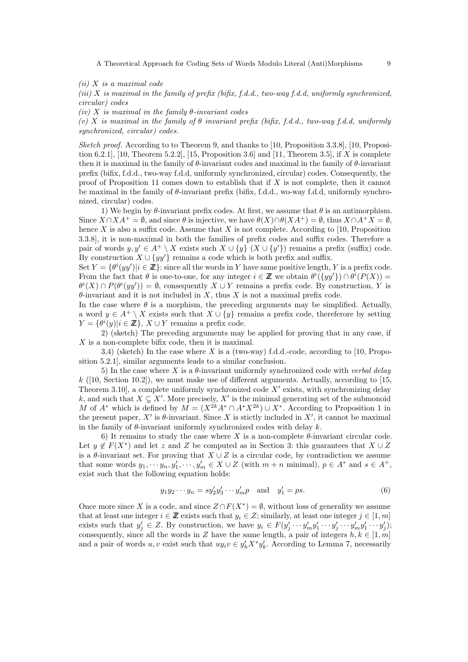A Theoretical Approach for Coding Sets of Words Modulo Literal (Anti)Morphisms 9

*(ii) X is a maximal code*

*(iii) X is maximal in the family of prefix (bifix, f.d.d., two-way f.d.d, uniformly synchronized, circular) codes*

*(iv) X is maximal in the family θ-invariant codes*

*(v) X is maximal in the family of θ invariant prefix (bifix, f.d.d., two-way f.d.d, uniformly synchronized, circular) codes.*

*Sketch proof.* According to to Theorem 9, and thanks to [10, Proposition 3.3.8], [10, Proposition 6.2.1], [10, Theorem 5.2.2], [15, Proposition 3.6] and [11, Theorem 3.5], if *X* is complete then it is maximal in the family of *θ*-invariant codes and maximal in the family of *θ*-invariant prefix (bifix, f.d.d., two-way f.d.d, uniformly synchronized, circular) codes. Consequently, the proof of Proposition 11 comes down to establish that if *X* is not complete, then it cannot be maximal in the family of *θ*-invariant prefix (bifix, f.d.d., wo-way f.d.d, uniformly synchronized, circular) codes.

1) We begin by  $\theta$ -invariant prefix codes. At first, we assume that  $\theta$  is an antimorphism. Since  $X \cap X A^+ = \emptyset$ , and since  $\theta$  is injective, we have  $\theta(X) \cap \theta(X A^+) = \emptyset$ , thus  $X \cap A^+ X = \emptyset$ . hence *X* is also a suffix code. Assume that *X* is not complete. According to [10, Proposition 3.3.8], it is non-maximal in both the families of prefix codes and suffix codes. Therefore a pair of words  $y, y' \in A^+ \setminus X$  exists such  $X \cup \{y\}$  ( $X \cup \{y'\}$ ) remains a prefix (suffix) code. By construction  $X \cup \{yy'\}$  remains a code which is both prefix and suffix.

Set  $Y = \{\theta^i(yy') | i \in \mathbb{Z}\}$ : since all the words in *Y* have same positive length, *Y* is a prefix code. From the fact that  $\theta$  is one-to-one, for any integer  $i \in \mathbb{Z}$  we obtain  $\theta^{i}(\lbrace y y' \rbrace) \cap \theta^{i}(P(X)) =$  $\theta^i(X) \cap P(\theta^i(yy')) = \emptyset$ , consequently  $X \cup Y$  remains a prefix code. By construction, *Y* is *θ*-invariant and it is not included in *X*, thus *X* is not a maximal prefix code.

In the case where  $\theta$  is a morphism, the preceding arguments may be simplified. Actually, a word  $y \in A^+ \setminus X$  exists such that  $X \cup \{y\}$  remains a prefix code, thereferore by setting  $Y = {\theta^i(y)}|i \in \mathbb{Z}$ ,  $X \cup Y$  remains a prefix code.

2) (sketch) The preceding arguments may be applied for proving that in any case, if *X* is a non-complete bifix code, then it is maximal.

3,4) (sketch) In the case where *X* is a (two-way) f.d.d.-code, according to [10, Proposition 5.2.1], similar arguments leads to a similar conclusion.

5) In the case where *X* is a *θ*-invariant uniformly synchronized code with *verbal delay*  $k$  ([10, Section 10.2]), we must make use of different arguments. Actually, according to [15, Theorem 3.10], a complete uniformly synchronized code *X′* exists, with synchronizing delay k, and such that  $X \subsetneq X'$ . More precisely,  $X'$  is the minimal generating set of the submonoid *M* of  $A^*$  which is defined by  $M = (X^{2k}A^* \cap A^*X^{2k}) \cup X^*$ . According to Proposition 1 in the present paper,  $X'$  is  $\theta$ -invariant. Since X is stictly included in  $X'$ , it cannot be maximal in the family of *θ*-invariant uniformly synchronized codes with delay *k*.

6) It remains to study the case where X is a non-complete  $\theta$ -invariant circular code. Let  $y \notin F(X^*)$  and let *z* and *Z* be computed as in Section 3: this guarantees that  $X \cup Z$ is a  $\theta$ -invariant set. For proving that  $X \cup Z$  is a circular code, by contradiction we assume that some words  $y_1, \dots, y_n, y'_1, \dots, y'_m \in X \cup Z$  (with  $m+n$  minimal),  $p \in A^*$  and  $s \in A^+$ , exist such that the following equation holds:

$$
y_1 y_2 \cdots y_n = s y_2' y_3' \cdots y_m' p
$$
 and  $y_1' = ps.$  (6)

Once more since *X* is a code, and since  $Z \cap F(X^*) = \emptyset$ , without loss of generality we assume that at least one integer  $i \in \mathbb{Z}$  exists such that  $y_i \in \mathbb{Z}$ ; similarly, at least one integer  $j \in [1, m]$ exists such that  $y'_j \in Z$ . By construction, we have  $y_i \in F(y'_j \cdots y'_m y'_1 \cdots y'_j \cdots y'_m y'_1 \cdots y'_j);$ consequently, since all the words in *Z* have the same length, a pair of integers  $h, k \in [1, m]$ and a pair of words *u, v* exist such that  $uy_i v \in y'_h X^* y'_k$ . According to Lemma 7, necessarily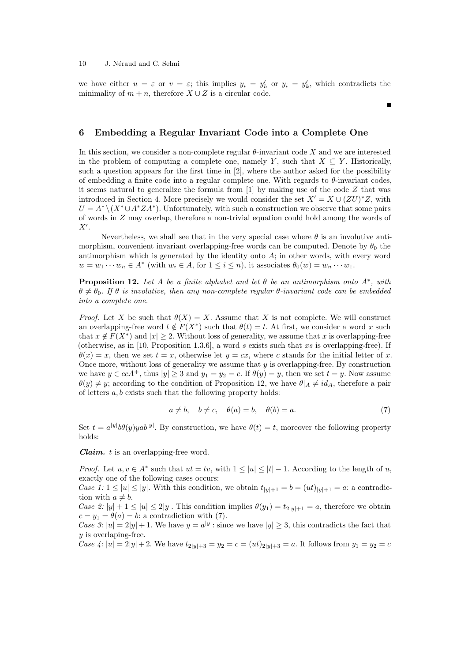we have either  $u = \varepsilon$  or  $v = \varepsilon$ ; this implies  $y_i = y'_h$  or  $y_i = y'_k$ , which contradicts the minimality of  $m + n$ , therefore  $X \cup Z$  is a circular code.

#### **6 Embedding a Regular Invariant Code into a Complete One**

In this section, we consider a non-complete regular *θ*-invariant code *X* and we are interested in the problem of computing a complete one, namely *Y*, such that  $X \subseteq Y$ . Historically, such a question appears for the first time in [2], where the author asked for the possibility of embedding a finite code into a regular complete one. With regards to *θ*-invariant codes, it seems natural to generalize the formula from [1] by making use of the code *Z* that was introduced in Section 4. More precisely we would consider the set  $X' = X \cup (ZU)^*Z$ , with  $U = A^* \setminus (X^* \cup A^* Z A^*)$ . Unfortunately, with such a construction we observe that some pairs of words in *Z* may overlap, therefore a non-trivial equation could hold among the words of *X′* .

Nevertheless, we shall see that in the very special case where  $\theta$  is an involutive antimorphism, convenient invariant overlapping-free words can be computed. Denote by  $\theta_0$  the antimorphism which is generated by the identity onto *A*; in other words, with every word  $w = w_1 \cdots w_n \in A^*$  (with  $w_i \in A$ , for  $1 \leq i \leq n$ ), it associates  $\theta_0(w) = w_n \cdots w_1$ .

**Proposition 12.** *Let A be a finite alphabet and let θ be an antimorphism onto A<sup>∗</sup> , with*  $\theta \neq \theta_0$ . If  $\theta$  is involutive, then any non-complete regular  $\theta$ -invariant code can be embedded *into a complete one.*

*Proof.* Let *X* be such that  $\theta(X) = X$ . Assume that *X* is not complete. We will construct an overlapping-free word  $t \notin F(X^*)$  such that  $\theta(t) = t$ . At first, we consider a word *x* such that  $x \notin F(X^*)$  and  $|x| \geq 2$ . Without loss of generality, we assume that *x* is overlapping-free (otherwise, as in [10, Proposition 1.3.6], a word *s* exists such that *xs* is overlapping-free). If  $\theta(x) = x$ , then we set  $t = x$ , otherwise let  $y = cx$ , where *c* stands for the initial letter of *x*. Once more, without loss of generality we assume that *y* is overlapping-free. By construction we have  $y \in cca$ <sup>+</sup>, thus  $|y| \ge 3$  and  $y_1 = y_2 = c$ . If  $\theta(y) = y$ , then we set  $t = y$ . Now assume *θ*(*y*)  $\neq$  *y*; according to the condition of Proposition 12, we have *θ A*  $\neq$  *id<sub>A</sub>*, therefore a pair of letters *a, b* exists such that the following property holds:

$$
a \neq b, \quad b \neq c, \quad \theta(a) = b, \quad \theta(b) = a. \tag{7}
$$

Set  $t = a^{|y|}b\theta(y) y a^{|y|}$ . By construction, we have  $\theta(t) = t$ , moreover the following property holds:

*Claim. t* is an overlapping-free word.

*Proof.* Let  $u, v \in A^*$  such that  $ut = tv$ , with  $1 \leq |u| \leq |t| - 1$ . According to the length of  $u$ , exactly one of the following cases occurs:

*Case 1:*  $1 \leq |u| \leq |y|$ . With this condition, we obtain  $t_{|y|+1} = b = (ut)_{|y|+1} = a$ : a contradiction with  $a \neq b$ .

*Case 2:*  $|y| + 1 \le |u| \le 2|y|$ . This condition implies  $\theta(y_1) = t_{2|y|+1} = a$ , therefore we obtain  $c = y_1 = \theta(a) = b$ : a contradiction with (7).

*Case 3:*  $|u| = 2|y| + 1$ . We have  $y = a^{|y|}$ : since we have  $|y| \geq 3$ , this contradicts the fact that *y* is overlaping-free.

Case 4:  $|u| = 2|y| + 2$ . We have  $t_{2|y|+3} = y_2 = c = (ut)_{2|y|+3} = a$ . It follows from  $y_1 = y_2 = c$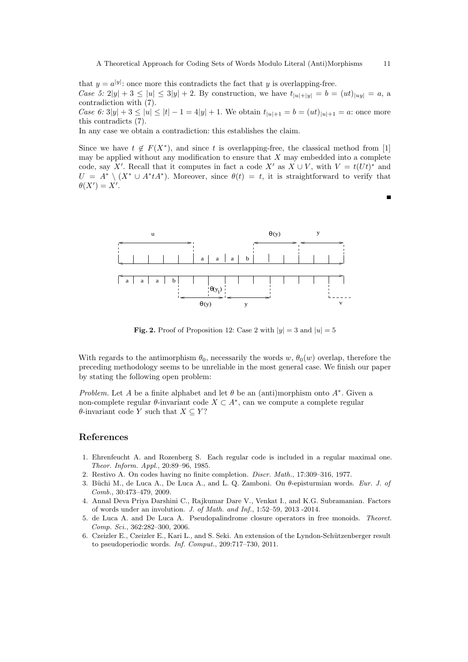that  $y = a^{|y|}$ : once more this contradicts the fact that *y* is overlapping-free. Case 5: 2|y| + 3  $\le |u| \le 3|y| + 2$ . By construction, we have  $t_{|u|+|u|} = b = (ut)_{|uu|} = a$ , a contradiction with (7).

Case 6:  $3|y| + 3 \le |u| \le |t| - 1 = 4|y| + 1$ . We obtain  $t_{|u|+1} = b = (ut)_{|u|+1} = a$ : once more this contradicts (7).

In any case we obtain a contradiction: this establishes the claim.

Since we have  $t \notin F(X^*)$ , and since *t* is overlapping-free, the classical method from [1] may be applied without any modification to ensure that *X* may embedded into a complete code, say *X'*. Recall that it computes in fact a code *X'* as  $X \cup V$ , with  $V = t(Ut)^*$  and  $U = A^* \setminus (X^* \cup A^* t A^*)$ . Moreover, since  $\theta(t) = t$ , it is straightforward to verify that  $\theta(X') = X'$ .



**Fig. 2.** Proof of Proposition 12: Case 2 with  $|y| = 3$  and  $|u| = 5$ 

With regards to the antimorphism  $\theta_0$ , necessarily the words  $w$ ,  $\theta_0(w)$  overlap, therefore the preceding methodology seems to be unreliable in the most general case. We finish our paper by stating the following open problem:

*Problem.* Let *A* be a finite alphabet and let  $\theta$  be an (anti)morphism onto  $A^*$ . Given a non-complete regular *θ*-invariant code *X ⊂ A<sup>∗</sup>* , can we compute a complete regular *θ*-invariant code *Y* such that  $X \subseteq Y$ ?

#### **References**

- 1. Ehrenfeucht A. and Rozenberg S. Each regular code is included in a regular maximal one. *Theor. Inform. Appl.*, 20:89–96, 1985.
- 2. Restivo A. On codes having no finite completion. *Discr. Math.*, 17:309–316, 1977.
- 3. Büchi M., de Luca A., De Luca A., and L. Q. Zamboni. On θ-episturmian words. *Eur. J. of Comb.*, 30:473–479, 2009.
- 4. Annal Deva Priya Darshini C., Rajkumar Dare V., Venkat I., and K.G. Subramanian. Factors of words under an involution. *J. of Math. and Inf.*, 1:52–59, 2013 -2014.
- 5. de Luca A. and De Luca A. Pseudopalindrome closure operators in free monoids. *Theoret. Comp. Sci.*, 362:282–300, 2006.
- 6. Czeizler E., Czeizler E., Kari L., and S. Seki. An extension of the Lyndon-Sch¨utzenberger result to pseudoperiodic words. *Inf. Comput.*, 209:717–730, 2011.